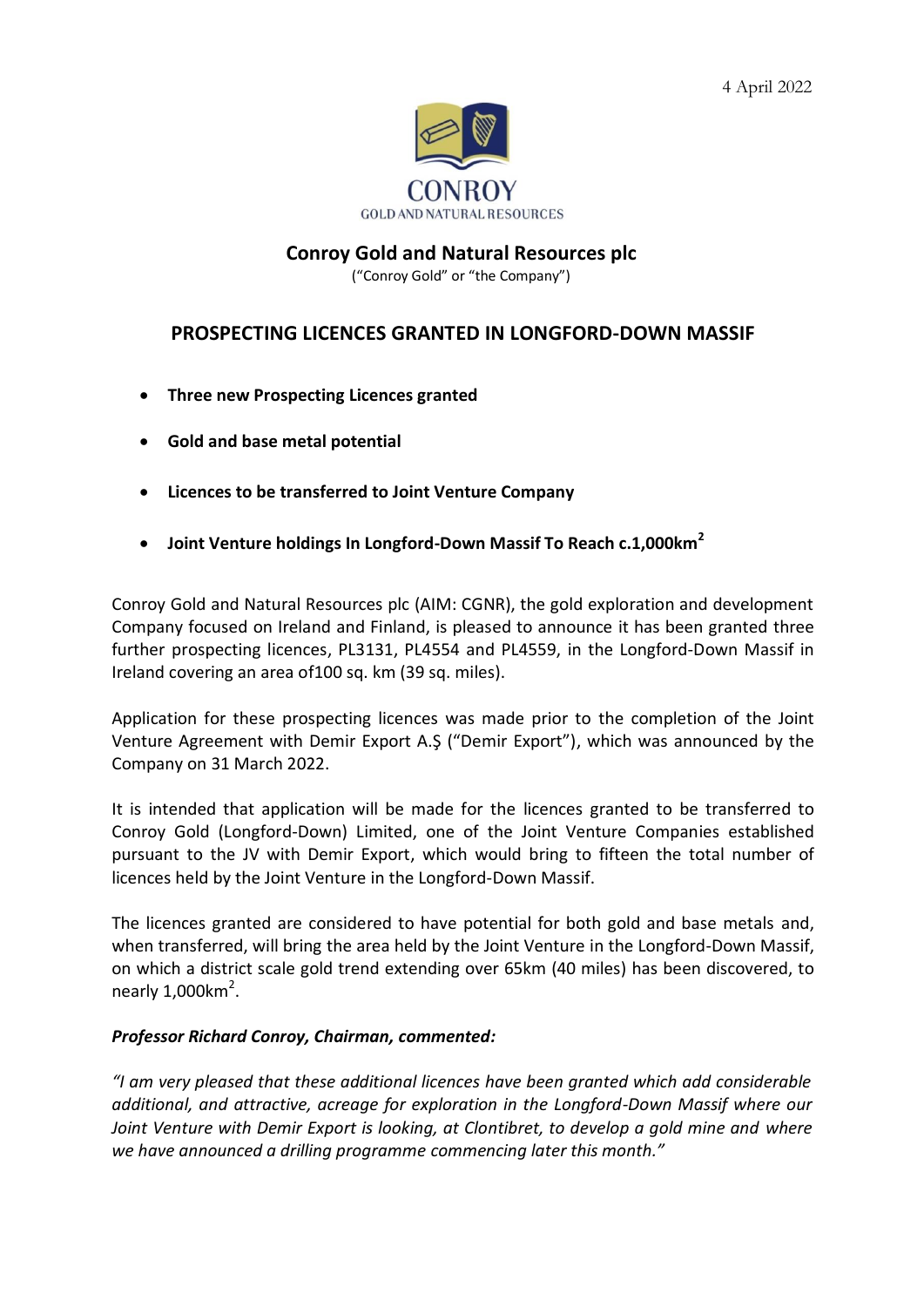

## **Conroy Gold and Natural Resources plc**

("Conroy Gold" or "the Company")

## **PROSPECTING LICENCES GRANTED IN LONGFORD-DOWN MASSIF**

- **Three new Prospecting Licences granted**
- **Gold and base metal potential**
- **Licences to be transferred to Joint Venture Company**
- **Joint Venture holdings In Longford-Down Massif To Reach c.1,000km<sup>2</sup>**

Conroy Gold and Natural Resources plc (AIM: CGNR), the gold exploration and development Company focused on Ireland and Finland, is pleased to announce it has been granted three further prospecting licences, PL3131, PL4554 and PL4559, in the Longford-Down Massif in Ireland covering an area of100 sq. km (39 sq. miles).

Application for these prospecting licences was made prior to the completion of the Joint Venture Agreement with Demir Export A.Ş ("Demir Export"), which was announced by the Company on 31 March 2022.

It is intended that application will be made for the licences granted to be transferred to Conroy Gold (Longford-Down) Limited, one of the Joint Venture Companies established pursuant to the JV with Demir Export, which would bring to fifteen the total number of licences held by the Joint Venture in the Longford-Down Massif.

The licences granted are considered to have potential for both gold and base metals and, when transferred, will bring the area held by the Joint Venture in the Longford-Down Massif, on which a district scale gold trend extending over 65km (40 miles) has been discovered, to nearly  $1,000$ km<sup>2</sup>.

## *Professor Richard Conroy, Chairman, commented:*

*"I am very pleased that these additional licences have been granted which add considerable additional, and attractive, acreage for exploration in the Longford-Down Massif where our Joint Venture with Demir Export is looking, at Clontibret, to develop a gold mine and where we have announced a drilling programme commencing later this month."*